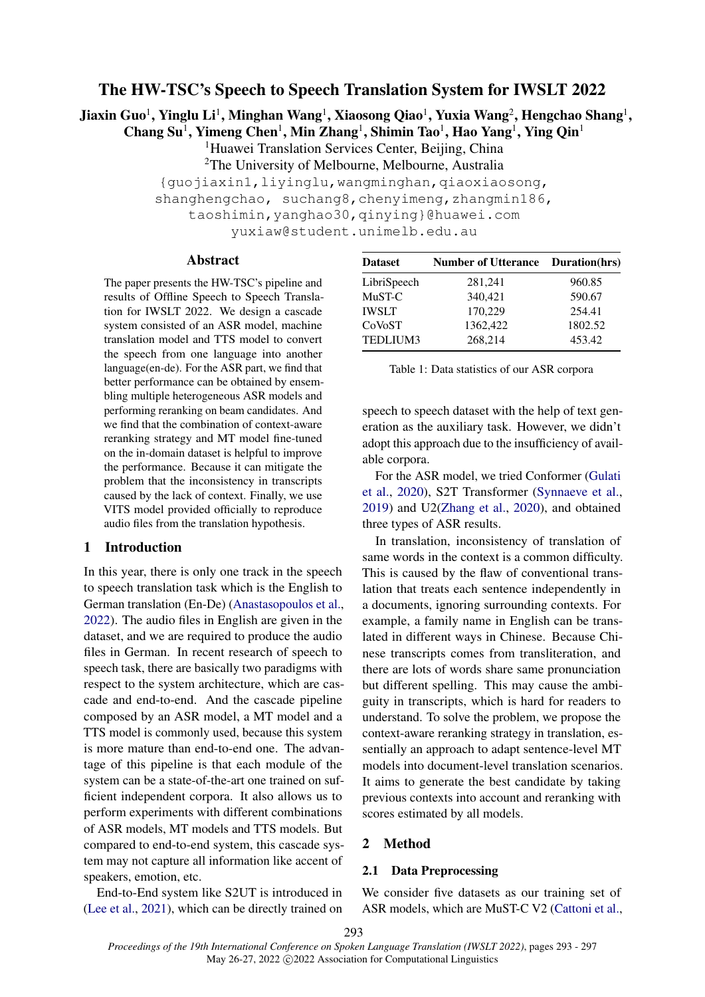# The HW-TSC's Speech to Speech Translation System for IWSLT 2022

Jiaxin Guo $^1$ , Yinglu Li $^1$ , Minghan Wang $^1$ , Xiaosong Qiao $^1$ , Yuxia Wang $^2$ , Hengchao Shang $^1$ ,

Chang Su<sup>1</sup>, Yimeng Chen<sup>1</sup>, Min Zhang<sup>1</sup>, Shimin Tao<sup>1</sup>, Hao Yang<sup>1</sup>, Ying Qin<sup>1</sup>

<sup>1</sup>Huawei Translation Services Center, Beijing, China

<sup>2</sup>The University of Melbourne, Melbourne, Australia

{guojiaxin1,liyinglu,wangminghan,qiaoxiaosong,

shanghengchao, suchang8, chenyimeng, zhangmin186,

taoshimin,yanghao30,qinying}@huawei.com

yuxiaw@student.unimelb.edu.au

## Abstract

The paper presents the HW-TSC's pipeline and results of Offline Speech to Speech Translation for IWSLT 2022. We design a cascade system consisted of an ASR model, machine translation model and TTS model to convert the speech from one language into another language(en-de). For the ASR part, we find that better performance can be obtained by ensembling multiple heterogeneous ASR models and performing reranking on beam candidates. And we find that the combination of context-aware reranking strategy and MT model fine-tuned on the in-domain dataset is helpful to improve the performance. Because it can mitigate the problem that the inconsistency in transcripts caused by the lack of context. Finally, we use VITS model provided officially to reproduce audio files from the translation hypothesis.

#### 1 Introduction

In this year, there is only one track in the speech to speech translation task which is the English to German translation (En-De) [\(Anastasopoulos et al.,](#page-3-0) [2022\)](#page-3-0). The audio files in English are given in the dataset, and we are required to produce the audio files in German. In recent research of speech to speech task, there are basically two paradigms with respect to the system architecture, which are cascade and end-to-end. And the cascade pipeline composed by an ASR model, a MT model and a TTS model is commonly used, because this system is more mature than end-to-end one. The advantage of this pipeline is that each module of the system can be a state-of-the-art one trained on sufficient independent corpora. It also allows us to perform experiments with different combinations of ASR models, MT models and TTS models. But compared to end-to-end system, this cascade system may not capture all information like accent of speakers, emotion, etc.

End-to-End system like S2UT is introduced in [\(Lee et al.,](#page-4-0) [2021\)](#page-4-0), which can be directly trained on

<span id="page-0-0"></span>

| <b>Dataset</b> | <b>Number of Utterance Duration(hrs)</b> |         |  |
|----------------|------------------------------------------|---------|--|
| LibriSpeech    | 281,241                                  | 960.85  |  |
| MuST-C         | 340,421                                  | 590.67  |  |
| IWSLT          | 170,229                                  | 254.41  |  |
| CoVoST         | 1362,422                                 | 1802.52 |  |
| TEDLIUM3       | 268,214                                  | 453.42  |  |

| Table 1: Data statistics of our ASR corpora |  |  |  |  |
|---------------------------------------------|--|--|--|--|
|---------------------------------------------|--|--|--|--|

speech to speech dataset with the help of text generation as the auxiliary task. However, we didn't adopt this approach due to the insufficiency of available corpora.

For the ASR model, we tried Conformer [\(Gulati](#page-3-1) [et al.,](#page-3-1) [2020\)](#page-3-1), S2T Transformer [\(Synnaeve et al.,](#page-4-1) [2019\)](#page-4-1) and U2[\(Zhang et al.,](#page-4-2) [2020\)](#page-4-2), and obtained three types of ASR results.

In translation, inconsistency of translation of same words in the context is a common difficulty. This is caused by the flaw of conventional translation that treats each sentence independently in a documents, ignoring surrounding contexts. For example, a family name in English can be translated in different ways in Chinese. Because Chinese transcripts comes from transliteration, and there are lots of words share same pronunciation but different spelling. This may cause the ambiguity in transcripts, which is hard for readers to understand. To solve the problem, we propose the context-aware reranking strategy in translation, essentially an approach to adapt sentence-level MT models into document-level translation scenarios. It aims to generate the best candidate by taking previous contexts into account and reranking with scores estimated by all models.

# 2 Method

#### 2.1 Data Preprocessing

We consider five datasets as our training set of ASR models, which are MuST-C V2 [\(Cattoni et al.,](#page-3-2)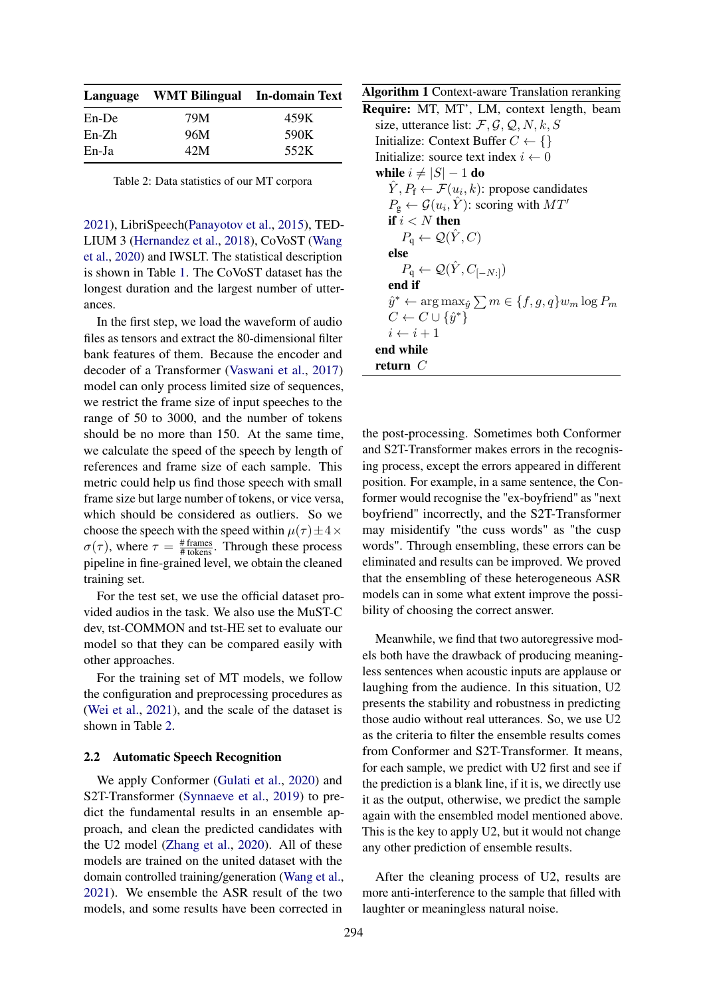<span id="page-1-0"></span>

|          | Language WMT Bilingual In-domain Text |      |  |  |
|----------|---------------------------------------|------|--|--|
| $En$ -De | 79M                                   | 459K |  |  |
| $En-Zh$  | 96M                                   | 590K |  |  |
| En-Ja    | 42M                                   | 552K |  |  |
|          |                                       |      |  |  |

Table 2: Data statistics of our MT corpora

[2021\)](#page-3-2), LibriSpeech[\(Panayotov et al.,](#page-4-3) [2015\)](#page-4-3), TED-LIUM 3 [\(Hernandez et al.,](#page-4-4) [2018\)](#page-4-4), CoVoST [\(Wang](#page-4-5) [et al.,](#page-4-5) [2020\)](#page-4-5) and IWSLT. The statistical description is shown in Table [1.](#page-0-0) The CoVoST dataset has the longest duration and the largest number of utterances.

In the first step, we load the waveform of audio files as tensors and extract the 80-dimensional filter bank features of them. Because the encoder and decoder of a Transformer [\(Vaswani et al.,](#page-4-6) [2017\)](#page-4-6) model can only process limited size of sequences, we restrict the frame size of input speeches to the range of 50 to 3000, and the number of tokens should be no more than 150. At the same time, we calculate the speed of the speech by length of references and frame size of each sample. This metric could help us find those speech with small frame size but large number of tokens, or vice versa, which should be considered as outliers. So we choose the speech with the speed within  $\mu(\tau) \pm 4 \times$  $\sigma(\tau)$ , where  $\tau = \frac{\text{# frames}}{\text{# tokens}}$ . Through these process pipeline in fine-grained level, we obtain the cleaned training set.

For the test set, we use the official dataset provided audios in the task. We also use the MuST-C dev, tst-COMMON and tst-HE set to evaluate our model so that they can be compared easily with other approaches.

For the training set of MT models, we follow the configuration and preprocessing procedures as [\(Wei et al.,](#page-4-7) [2021\)](#page-4-7), and the scale of the dataset is shown in Table [2.](#page-1-0)

## 2.2 Automatic Speech Recognition

We apply Conformer [\(Gulati et al.,](#page-3-1) [2020\)](#page-3-1) and S2T-Transformer [\(Synnaeve et al.,](#page-4-1) [2019\)](#page-4-1) to predict the fundamental results in an ensemble approach, and clean the predicted candidates with the U2 model [\(Zhang et al.,](#page-4-2) [2020\)](#page-4-2). All of these models are trained on the united dataset with the domain controlled training/generation [\(Wang et al.,](#page-4-8) [2021\)](#page-4-8). We ensemble the ASR result of the two models, and some results have been corrected in

<span id="page-1-1"></span>Algorithm 1 Context-aware Translation reranking Require: MT, MT', LM, context length, beam size, utterance list:  $\mathcal{F}, \mathcal{G}, \mathcal{Q}, N, k, S$ Initialize: Context Buffer  $C \leftarrow \{\}$ Initialize: source text index  $i \leftarrow 0$ while  $i \neq |S| - 1$  do  $\hat{Y}, P_{\text{f}} \leftarrow \mathcal{F}(u_i, k)$ : propose candidates  $P_{\text{g}} \leftarrow \mathcal{G}(u_i, \hat{Y})$ : scoring with  $MT'$ if  $i < N$  then  $P_{\rm q} \leftarrow \mathcal{Q}(\hat{Y}, C)$ else  $P_{\mathbf{q}} \leftarrow \mathcal{Q}(\hat{Y}, C_{[-N:]})$ end if  $\hat{y}^* \leftarrow \arg \max_{\hat{y}} \sum m \in \{f, g, q\} w_m \log P_m$  $C \leftarrow C \cup \{\hat{y}^*\}$  $i \leftarrow i + 1$ end while return C

the post-processing. Sometimes both Conformer and S2T-Transformer makes errors in the recognising process, except the errors appeared in different position. For example, in a same sentence, the Conformer would recognise the "ex-boyfriend" as "next boyfriend" incorrectly, and the S2T-Transformer may misidentify "the cuss words" as "the cusp words". Through ensembling, these errors can be eliminated and results can be improved. We proved that the ensembling of these heterogeneous ASR models can in some what extent improve the possibility of choosing the correct answer.

Meanwhile, we find that two autoregressive models both have the drawback of producing meaningless sentences when acoustic inputs are applause or laughing from the audience. In this situation, U2 presents the stability and robustness in predicting those audio without real utterances. So, we use U2 as the criteria to filter the ensemble results comes from Conformer and S2T-Transformer. It means, for each sample, we predict with U2 first and see if the prediction is a blank line, if it is, we directly use it as the output, otherwise, we predict the sample again with the ensembled model mentioned above. This is the key to apply U2, but it would not change any other prediction of ensemble results.

After the cleaning process of U2, results are more anti-interference to the sample that filled with laughter or meaningless natural noise.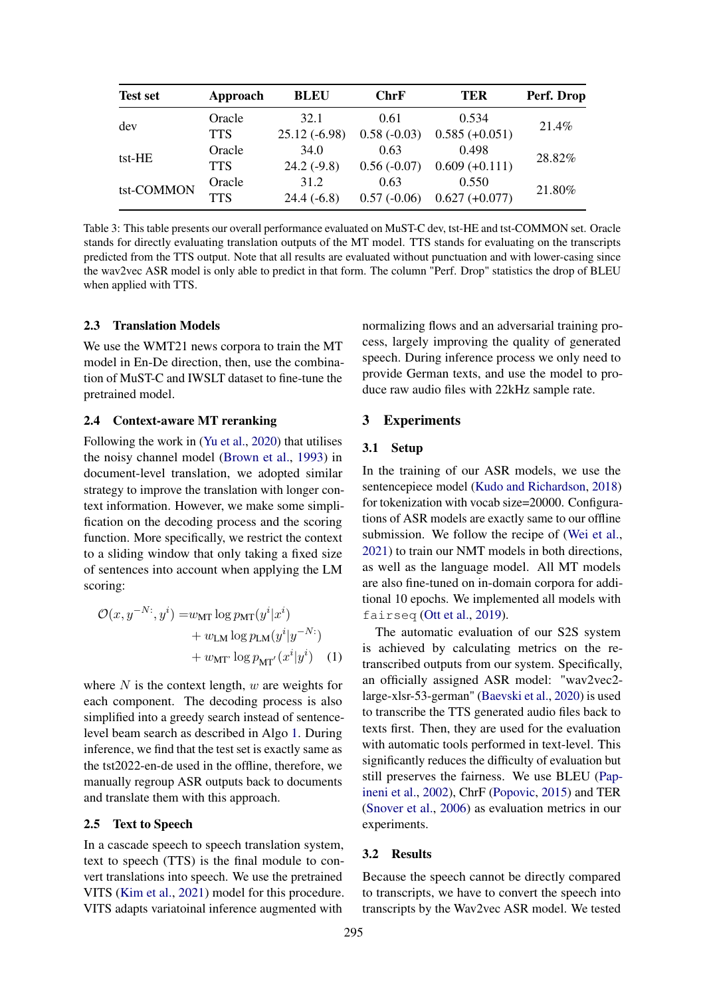<span id="page-2-0"></span>

| <b>Test set</b> | Approach   | <b>BLEU</b>    | <b>ChrF</b>   | <b>TER</b>       | Perf. Drop |  |
|-----------------|------------|----------------|---------------|------------------|------------|--|
| dev             | Oracle     | 32.1           | 0.61          | 0.534            | 21.4%      |  |
|                 | <b>TTS</b> | $25.12(-6.98)$ | $0.58(-0.03)$ | $0.585 (+0.051)$ |            |  |
| tst-HE          | Oracle     | 34.0           | 0.63          | 0.498            | 28.82%     |  |
|                 | <b>TTS</b> | $24.2(-9.8)$   | $0.56(-0.07)$ | $0.609 (+0.111)$ |            |  |
| tst-COMMON      | Oracle     | 31.2           | 0.63          | 0.550            | 21.80%     |  |
|                 | <b>TTS</b> | $24.4(-6.8)$   | $0.57(-0.06)$ | $0.627 (+0.077)$ |            |  |

Table 3: This table presents our overall performance evaluated on MuST-C dev, tst-HE and tst-COMMON set. Oracle stands for directly evaluating translation outputs of the MT model. TTS stands for evaluating on the transcripts predicted from the TTS output. Note that all results are evaluated without punctuation and with lower-casing since the wav2vec ASR model is only able to predict in that form. The column "Perf. Drop" statistics the drop of BLEU when applied with TTS.

#### 2.3 Translation Models

We use the WMT21 news corpora to train the MT model in En-De direction, then, use the combination of MuST-C and IWSLT dataset to fine-tune the pretrained model.

## 2.4 Context-aware MT reranking

Following the work in [\(Yu et al.,](#page-4-9) [2020\)](#page-4-9) that utilises the noisy channel model [\(Brown et al.,](#page-3-3) [1993\)](#page-3-3) in document-level translation, we adopted similar strategy to improve the translation with longer context information. However, we make some simplification on the decoding process and the scoring function. More specifically, we restrict the context to a sliding window that only taking a fixed size of sentences into account when applying the LM scoring:

$$
\mathcal{O}(x, y^{-N:}, y^i) = w_{\text{MT}} \log p_{\text{MT}}(y^i | x^i)
$$

$$
+ w_{\text{LM}} \log p_{\text{LM}}(y^i | y^{-N:})
$$

$$
+ w_{\text{MT'}} \log p_{\text{MT'}}(x^i | y^i) \quad (1)
$$

where  $N$  is the context length,  $w$  are weights for each component. The decoding process is also simplified into a greedy search instead of sentencelevel beam search as described in Algo [1.](#page-1-1) During inference, we find that the test set is exactly same as the tst2022-en-de used in the offline, therefore, we manually regroup ASR outputs back to documents and translate them with this approach.

#### 2.5 Text to Speech

In a cascade speech to speech translation system, text to speech (TTS) is the final module to convert translations into speech. We use the pretrained VITS [\(Kim et al.,](#page-4-10) [2021\)](#page-4-10) model for this procedure. VITS adapts variatoinal inference augmented with

normalizing flows and an adversarial training process, largely improving the quality of generated speech. During inference process we only need to provide German texts, and use the model to produce raw audio files with 22kHz sample rate.

#### 3 Experiments

# 3.1 Setup

In the training of our ASR models, we use the sentencepiece model [\(Kudo and Richardson,](#page-4-11) [2018\)](#page-4-11) for tokenization with vocab size=20000. Configurations of ASR models are exactly same to our offline submission. We follow the recipe of [\(Wei et al.,](#page-4-7) [2021\)](#page-4-7) to train our NMT models in both directions, as well as the language model. All MT models are also fine-tuned on in-domain corpora for additional 10 epochs. We implemented all models with fairseq [\(Ott et al.,](#page-4-12) [2019\)](#page-4-12).

The automatic evaluation of our S2S system is achieved by calculating metrics on the retranscribed outputs from our system. Specifically, an officially assigned ASR model: "wav2vec2 large-xlsr-53-german" [\(Baevski et al.,](#page-3-4) [2020\)](#page-3-4) is used to transcribe the TTS generated audio files back to texts first. Then, they are used for the evaluation with automatic tools performed in text-level. This significantly reduces the difficulty of evaluation but still preserves the fairness. We use BLEU [\(Pap](#page-4-13)[ineni et al.,](#page-4-13) [2002\)](#page-4-13), ChrF [\(Popovic,](#page-4-14) [2015\)](#page-4-14) and TER [\(Snover et al.,](#page-4-15) [2006\)](#page-4-15) as evaluation metrics in our experiments.

#### 3.2 Results

Because the speech cannot be directly compared to transcripts, we have to convert the speech into transcripts by the Wav2vec ASR model. We tested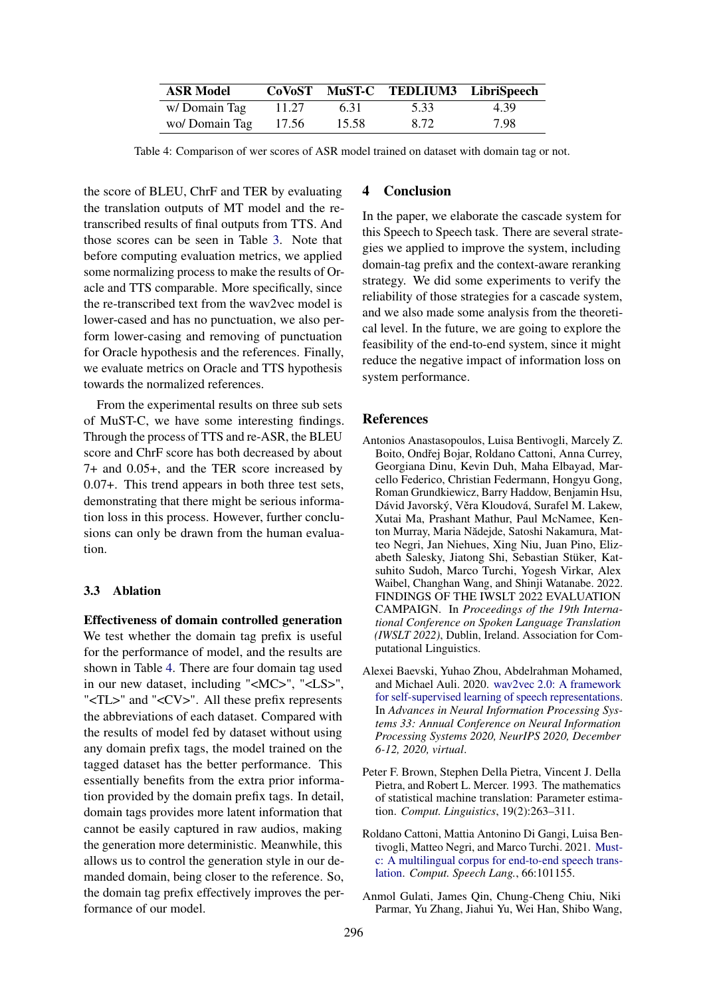<span id="page-3-5"></span>

| <b>ASR Model</b> |       |       | CoVoST MuST-C TEDLIUM3 LibriSpeech |      |
|------------------|-------|-------|------------------------------------|------|
| w/Domain Tag     | 11.27 | 6.31  | 5.33                               | 4.39 |
| wo/ Domain Tag   | 17.56 | 15.58 | 8.72                               | 7.98 |

Table 4: Comparison of wer scores of ASR model trained on dataset with domain tag or not.

the score of BLEU, ChrF and TER by evaluating the translation outputs of MT model and the retranscribed results of final outputs from TTS. And those scores can be seen in Table [3.](#page-2-0) Note that before computing evaluation metrics, we applied some normalizing process to make the results of Oracle and TTS comparable. More specifically, since the re-transcribed text from the wav2vec model is lower-cased and has no punctuation, we also perform lower-casing and removing of punctuation for Oracle hypothesis and the references. Finally, we evaluate metrics on Oracle and TTS hypothesis towards the normalized references.

From the experimental results on three sub sets of MuST-C, we have some interesting findings. Through the process of TTS and re-ASR, the BLEU score and ChrF score has both decreased by about 7+ and 0.05+, and the TER score increased by 0.07+. This trend appears in both three test sets, demonstrating that there might be serious information loss in this process. However, further conclusions can only be drawn from the human evaluation.

## 3.3 Ablation

Effectiveness of domain controlled generation We test whether the domain tag prefix is useful for the performance of model, and the results are shown in Table [4.](#page-3-5) There are four domain tag used in our new dataset, including "<MC>", "<LS>", "<TL>" and "<CV>". All these prefix represents the abbreviations of each dataset. Compared with the results of model fed by dataset without using any domain prefix tags, the model trained on the tagged dataset has the better performance. This essentially benefits from the extra prior information provided by the domain prefix tags. In detail, domain tags provides more latent information that cannot be easily captured in raw audios, making the generation more deterministic. Meanwhile, this allows us to control the generation style in our demanded domain, being closer to the reference. So, the domain tag prefix effectively improves the performance of our model.

## 4 Conclusion

In the paper, we elaborate the cascade system for this Speech to Speech task. There are several strategies we applied to improve the system, including domain-tag prefix and the context-aware reranking strategy. We did some experiments to verify the reliability of those strategies for a cascade system, and we also made some analysis from the theoretical level. In the future, we are going to explore the feasibility of the end-to-end system, since it might reduce the negative impact of information loss on system performance.

#### **References**

- <span id="page-3-0"></span>Antonios Anastasopoulos, Luisa Bentivogli, Marcely Z. Boito, Ondřej Bojar, Roldano Cattoni, Anna Currey, Georgiana Dinu, Kevin Duh, Maha Elbayad, Marcello Federico, Christian Federmann, Hongyu Gong, Roman Grundkiewicz, Barry Haddow, Benjamin Hsu, Dávid Javorský, Věra Kloudová, Surafel M. Lakew, Xutai Ma, Prashant Mathur, Paul McNamee, Kenton Murray, Maria Nădejde, Satoshi Nakamura, Matteo Negri, Jan Niehues, Xing Niu, Juan Pino, Elizabeth Salesky, Jiatong Shi, Sebastian Stüker, Katsuhito Sudoh, Marco Turchi, Yogesh Virkar, Alex Waibel, Changhan Wang, and Shinji Watanabe. 2022. FINDINGS OF THE IWSLT 2022 EVALUATION CAMPAIGN. In *Proceedings of the 19th International Conference on Spoken Language Translation (IWSLT 2022)*, Dublin, Ireland. Association for Computational Linguistics.
- <span id="page-3-4"></span>Alexei Baevski, Yuhao Zhou, Abdelrahman Mohamed, and Michael Auli. 2020. [wav2vec 2.0: A framework](https://proceedings.neurips.cc/paper/2020/hash/92d1e1eb1cd6f9fba3227870bb6d7f07-Abstract.html) [for self-supervised learning of speech representations.](https://proceedings.neurips.cc/paper/2020/hash/92d1e1eb1cd6f9fba3227870bb6d7f07-Abstract.html) In *Advances in Neural Information Processing Systems 33: Annual Conference on Neural Information Processing Systems 2020, NeurIPS 2020, December 6-12, 2020, virtual*.
- <span id="page-3-3"></span>Peter F. Brown, Stephen Della Pietra, Vincent J. Della Pietra, and Robert L. Mercer. 1993. The mathematics of statistical machine translation: Parameter estimation. *Comput. Linguistics*, 19(2):263–311.
- <span id="page-3-2"></span>Roldano Cattoni, Mattia Antonino Di Gangi, Luisa Bentivogli, Matteo Negri, and Marco Turchi. 2021. [Must](https://doi.org/10.1016/j.csl.2020.101155)[c: A multilingual corpus for end-to-end speech trans](https://doi.org/10.1016/j.csl.2020.101155)[lation.](https://doi.org/10.1016/j.csl.2020.101155) *Comput. Speech Lang.*, 66:101155.
- <span id="page-3-1"></span>Anmol Gulati, James Qin, Chung-Cheng Chiu, Niki Parmar, Yu Zhang, Jiahui Yu, Wei Han, Shibo Wang,